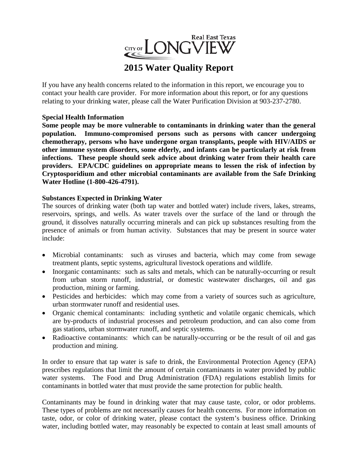

# **2015 Water Quality Report**

If you have any health concerns related to the information in this report, we encourage you to contact your health care provider. For more information about this report, or for any questions relating to your drinking water, please call the Water Purification Division at 903-237-2780.

### **Special Health Information**

**Some people may be more vulnerable to contaminants in drinking water than the general population. Immuno-compromised persons such as persons with cancer undergoing chemotherapy, persons who have undergone organ transplants, people with HIV/AIDS or other immune system disorders, some elderly, and infants can be particularly at risk from infections. These people should seek advice about drinking water from their health care providers. EPA/CDC guidelines on appropriate means to lessen the risk of infection by Cryptosporidium and other microbial contaminants are available from the Safe Drinking Water Hotline (1-800-426-4791).**

### **Substances Expected in Drinking Water**

The sources of drinking water (both tap water and bottled water) include rivers, lakes, streams, reservoirs, springs, and wells. As water travels over the surface of the land or through the ground, it dissolves naturally occurring minerals and can pick up substances resulting from the presence of animals or from human activity. Substances that may be present in source water include:

- Microbial contaminants: such as viruses and bacteria, which may come from sewage treatment plants, septic systems, agricultural livestock operations and wildlife.
- Inorganic contaminants: such as salts and metals, which can be naturally-occurring or result from urban storm runoff, industrial, or domestic wastewater discharges, oil and gas production, mining or farming.
- Pesticides and herbicides: which may come from a variety of sources such as agriculture, urban stormwater runoff and residential uses.
- Organic chemical contaminants: including synthetic and volatile organic chemicals, which are by-products of industrial processes and petroleum production, and can also come from gas stations, urban stormwater runoff, and septic systems.
- Radioactive contaminants: which can be naturally-occurring or be the result of oil and gas production and mining.

In order to ensure that tap water is safe to drink, the Environmental Protection Agency (EPA) prescribes regulations that limit the amount of certain contaminants in water provided by public water systems. The Food and Drug Administration (FDA) regulations establish limits for contaminants in bottled water that must provide the same protection for public health.

Contaminants may be found in drinking water that may cause taste, color, or odor problems. These types of problems are not necessarily causes for health concerns. For more information on taste, odor, or color of drinking water, please contact the system's business office. Drinking water, including bottled water, may reasonably be expected to contain at least small amounts of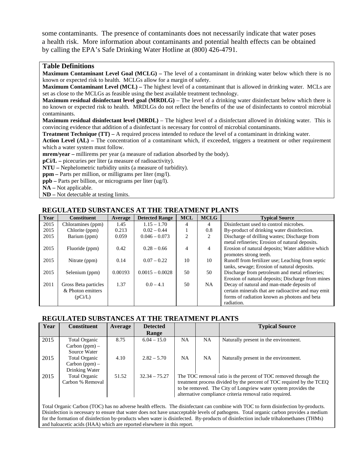some contaminants. The presence of contaminants does not necessarily indicate that water poses a health risk. More information about contaminants and potential health effects can be obtained by calling the EPA's Safe Drinking Water Hotline at (800) 426-4791.

#### **Table Definitions**

**Maximum Contaminant Level Goal (MCLG) –** The level of a contaminant in drinking water below which there is no known or expected risk to health. MCLGs allow for a margin of safety.

**Maximum Contaminant Level (MCL) –** The highest level of a contaminant that is allowed in drinking water. MCLs are set as close to the MCLGs as feasible using the best available treatment technology.

**Maximum residual disinfectant level goal (MRDLG)** – The level of a drinking water disinfectant below which there is no known or expected risk to health. MRDLGs do not reflect the benefits of the use of disinfectants to control microbial contaminants.

**Maximum residual disinfectant level (MRDL)** – The highest level of a disinfectant allowed in drinking water. This is convincing evidence that addition of a disinfectant is necessary for control of microbial contaminants.

**Treatment Technique (TT)** – A required process intended to reduce the level of a contaminant in drinking water.

**Action Level (AL) –** The concentration of a contaminant which, if exceeded, triggers a treatment or other requirement which a water system must follow.

**mrem/year –** millirems per year (a measure of radiation absorbed by the body).

**pCi/L –** picecuries per liter (a measure of radioactivity).

**NTU –** Nephelometric turbidity units (a measure of turbidity).

**ppm –** Parts per million, or milligrams per liter (mg/l).

**ppb –** Parts per billion, or micrograms per liter (ug/l).

**NA –** Not applicable.

**ND –** Not detectable at testing limits.

#### **REGULATED SUBSTANCES AT THE TREATMENT PLANTS**

| Year | <b>Constituent</b>   | Average | <b>Detected Range</b> | <b>MCL</b>     | <b>MCLG</b>    | <b>Typical Source</b>                              |
|------|----------------------|---------|-----------------------|----------------|----------------|----------------------------------------------------|
| 2015 | Chloramines (ppm)    | 1.45    | $1.15 - 1.70$         | 4              | 4              | Disinfectant used to control microbes.             |
| 2015 | Chlorite (ppm)       | 0.213   | $0.02 - 0.44$         |                | 0.8            | By-product of drinking water disinfection.         |
| 2015 | Barium (ppm)         | 0.059   | $0.046 - 0.073$       | $\overline{c}$ | 2              | Discharge of drilling wastes; Discharge from       |
|      |                      |         |                       |                |                | metal refineries; Erosion of natural deposits.     |
| 2015 | Fluoride (ppm)       | 0.42    | $0.28 - 0.66$         | 4              | $\overline{4}$ | Erosion of natural deposits; Water additive which  |
|      |                      |         |                       |                |                | promotes strong teeth.                             |
| 2015 | Nitrate (ppm)        | 0.14    | $0.07 - 0.22$         | 10             | 10             | Runoff from fertilizer use; Leaching from septic   |
|      |                      |         |                       |                |                | tanks, sewage; Erosion of natural deposits.        |
| 2015 | Selenium (ppm)       | 0.00193 | $0.0015 - 0.0028$     | 50             | 50             | Discharge from petroleum and metal refineries;     |
|      |                      |         |                       |                |                | Erosion of natural deposits; Discharge from mines  |
| 2011 | Gross Beta particles | 1.37    | $0.0 - 4.1$           | 50             | NA.            | Decay of natural and man-made deposits of          |
|      | & Photon emitters    |         |                       |                |                | certain minerals that are radioactive and may emit |
|      | (pCi/L)              |         |                       |                |                | forms of radiation known as photons and beta       |
|      |                      |         |                       |                |                | radiation.                                         |

#### **REGULATED SUBSTANCES AT THE TREATMENT PLANTS**

| Year | <b>Constituent</b>   | Average | <b>Detected</b> |                                                                      |           | <b>Typical Source</b>                                           |  |  |
|------|----------------------|---------|-----------------|----------------------------------------------------------------------|-----------|-----------------------------------------------------------------|--|--|
|      |                      |         | Range           |                                                                      |           |                                                                 |  |  |
| 2015 | <b>Total Organic</b> | 8.75    | $6.04 - 15.0$   | <b>NA</b>                                                            | <b>NA</b> | Naturally present in the environment.                           |  |  |
|      | Carbon $(ppm)$ –     |         |                 |                                                                      |           |                                                                 |  |  |
|      | Source Water         |         |                 |                                                                      |           |                                                                 |  |  |
| 2015 | <b>Total Organic</b> | 4.10    | $2.82 - 5.70$   | <b>NA</b>                                                            | <b>NA</b> | Naturally present in the environment.                           |  |  |
|      | $Carbon (ppm) -$     |         |                 |                                                                      |           |                                                                 |  |  |
|      | Drinking Water       |         |                 |                                                                      |           |                                                                 |  |  |
| 2015 | <b>Total Organic</b> | 51.52   | $32.34 - 75.27$ |                                                                      |           | The TOC removal ratio is the percent of TOC removed through the |  |  |
|      | Carbon % Removal     |         |                 | treatment process divided by the percent of TOC required by the TCEQ |           |                                                                 |  |  |
|      |                      |         |                 | to be removed. The City of Longview water system provides the        |           |                                                                 |  |  |
|      |                      |         |                 | alternative compliance criteria removal ratio required.              |           |                                                                 |  |  |
|      |                      |         |                 |                                                                      |           |                                                                 |  |  |

Total Organic Carbon (TOC) has no adverse health effects. The disinfectant can combine with TOC to form disinfection by-products. Disinfection is necessary to ensure that water does not have unacceptable levels of pathogens. Total organic carbon provides a medium for the formation of disinfection by-products when water is disinfected. By-products of disinfection include trihalomethanes (THMs) and haloacetic acids (HAA) which are reported elsewhere in this report.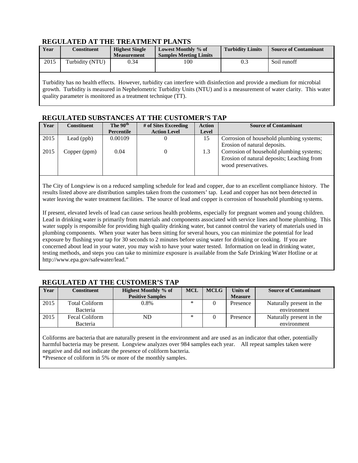### **REGULATED AT THE TREATMENT PLANTS**

| Year | Constituent     | <b>Highest Single</b><br><b>Measurement</b> | Lowest Monthly % of<br><b>Samples Meeting Limits</b> | <b>Turbidity Limits</b> | <b>Source of Contaminant</b> |
|------|-----------------|---------------------------------------------|------------------------------------------------------|-------------------------|------------------------------|
| 2015 | Turbidity (NTU) | 9.34                                        | 100                                                  | 0.3                     | Soil runoff                  |

Turbidity has no health effects. However, turbidity can interfere with disinfection and provide a medium for microbial growth. Turbidity is measured in Nephelometric Turbidity Units (NTU) and is a measurement of water clarity. This water quality parameter is monitored as a treatment technique (TT).

#### **REGULATED SUBSTANCES AT THE CUSTOMER'S TAP**

| Year | <b>Constituent</b> | The 90 <sup>th</sup> | # of Sites Exceeding | <b>Action</b> | <b>Source of Contaminant</b>               |  |  |  |  |
|------|--------------------|----------------------|----------------------|---------------|--------------------------------------------|--|--|--|--|
|      |                    | Percentile           | <b>Action Level</b>  | Level         |                                            |  |  |  |  |
| 2015 | Lead (ppb)         | 0.00109              |                      | 15            | Corrosion of household plumbing systems;   |  |  |  |  |
|      |                    |                      |                      |               | Erosion of natural deposits.               |  |  |  |  |
| 2015 | Copper (ppm)       | 0.04                 |                      | 1.3           | Corrosion of household plumbing systems;   |  |  |  |  |
|      |                    |                      |                      |               | Erosion of natural deposits; Leaching from |  |  |  |  |
|      |                    |                      |                      |               | wood preservatives.                        |  |  |  |  |
|      |                    |                      |                      |               |                                            |  |  |  |  |

The City of Longview is on a reduced sampling schedule for lead and copper, due to an excellent compliance history. The results listed above are distribution samples taken from the customers' tap. Lead and copper has not been detected in water leaving the water treatment facilities. The source of lead and copper is corrosion of household plumbing systems.

If present, elevated levels of lead can cause serious health problems, especially for pregnant women and young children. Lead in drinking water is primarily from materials and components associated with service lines and home plumbing. This water supply is responsible for providing high quality drinking water, but cannot control the variety of materials used in plumbing components. When your water has been sitting for several hours, you can minimize the potential for lead exposure by flushing your tap for 30 seconds to 2 minutes before using water for drinking or cooking. If you are concerned about lead in your water, you may wish to have your water tested. Information on lead in drinking water, testing methods, and steps you can take to minimize exposure is available from the Safe Drinking Water Hotline or at http://www.epa.gov/safewater/lead."

#### **Year Constituent Highest Monthly % of Positive Samples MCL MCLG Units of Measure Source of Contaminant** 2015 | Total Coliform Bacteria 0.8%  $\begin{array}{|c|c|c|c|c|c|} \hline \end{array}$  Naturally present in the environment 2015 | Fecal Coliform Bacteria ND  $\begin{array}{|c|c|c|c|c|c|} \hline \end{array}$   $\begin{array}{|c|c|c|c|c|c|} \hline \end{array}$  Presence Naturally present in the environment

#### **REGULATED AT THE CUSTOMER'S TAP**

Coliforms are bacteria that are naturally present in the environment and are used as an indicator that other, potentially harmful bacteria may be present. Longview analyzes over 984 samples each year. All repeat samples taken were negative and did not indicate the presence of coliform bacteria.

\*Presence of coliform in 5% or more of the monthly samples.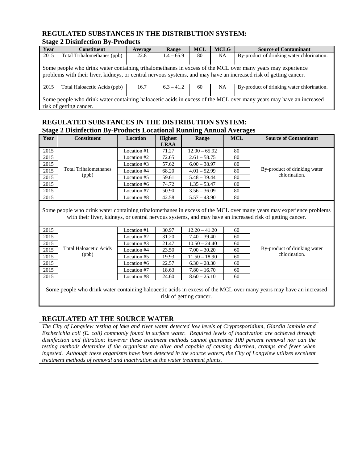#### **REGULATED SUBSTANCES IN THE DISTRIBUTION SYSTEM: Stage 2 Disinfection By-Products**

|      | ,                                                                                                                  |         |              |            |             |                                                                                                                   |  |  |  |
|------|--------------------------------------------------------------------------------------------------------------------|---------|--------------|------------|-------------|-------------------------------------------------------------------------------------------------------------------|--|--|--|
| Year | <b>Constituent</b>                                                                                                 | Average | Range        | <b>MCL</b> | <b>MCLG</b> | <b>Source of Contaminant</b>                                                                                      |  |  |  |
| 2015 | Total Trihalomethanes (ppb)                                                                                        | 22.8    | $1.4 - 65.9$ | 80         | NA          | By-product of drinking water chlorination.                                                                        |  |  |  |
|      |                                                                                                                    |         |              |            |             |                                                                                                                   |  |  |  |
|      |                                                                                                                    |         |              |            |             | Some people who drink water containing trihalomethanes in excess of the MCL over many years may experience        |  |  |  |
|      |                                                                                                                    |         |              |            |             | problems with their liver, kidneys, or central nervous systems, and may have an increased risk of getting cancer. |  |  |  |
|      |                                                                                                                    |         |              |            |             |                                                                                                                   |  |  |  |
| 2015 | Total Haloacetic Acids (ppb)                                                                                       | 16.7    | $6.3 - 41.2$ | 60         | NA          | By-product of drinking water chlorination.                                                                        |  |  |  |
|      |                                                                                                                    |         |              |            |             |                                                                                                                   |  |  |  |
|      | Some people who drink water containing haloacetic acids in excess of the MCL over many years may have an increased |         |              |            |             |                                                                                                                   |  |  |  |
|      | risk of getting cancer.                                                                                            |         |              |            |             |                                                                                                                   |  |  |  |

# **REGULATED SUBSTANCES IN THE DISTRIBUTION SYSTEM: Stage 2 Disinfection By-Products Locational Running Annual Averages**

| <b>Year</b> | <b>Constituent</b>    | Location    | <b>Highest</b> | Range           | <b>MCL</b> | <b>Source of Contaminant</b> |
|-------------|-----------------------|-------------|----------------|-----------------|------------|------------------------------|
|             |                       |             | <b>LRAA</b>    |                 |            |                              |
| 2015        |                       | Location #1 | 71.27          | $12.00 - 65.92$ | 80         |                              |
| 2015        |                       | Location #2 | 72.65          | $2.61 - 58.75$  | 80         |                              |
| 2015        |                       | Location #3 | 57.62          | $6.00 - 38.97$  | 80         |                              |
| 2015        | Total Trihalomethanes | Location #4 | 68.20          | $4.01 - 52.99$  | 80         | By-product of drinking water |
| 2015        | (ppb)                 | Location #5 | 59.61          | $5.48 - 39.44$  | 80         | chlorination.                |
| 2015        |                       | Location #6 | 74.72          | $1.35 - 53.47$  | 80         |                              |
| 2015        |                       | Location #7 | 50.90          | $3.56 - 36.09$  | 80         |                              |
| 2015        |                       | Location #8 | 42.58          | $5.57 - 43.90$  | 80         |                              |

Some people who drink water containing trihalomethanes in excess of the MCL over many years may experience problems with their liver, kidneys, or central nervous systems, and may have an increased risk of getting cancer.

| 2015 |                               | Location #1 | 30.97 | $12.20 - 41.20$ | 60 |                              |
|------|-------------------------------|-------------|-------|-----------------|----|------------------------------|
| 2015 |                               | Location #2 | 31.20 | $7.40 - 39.40$  | 60 |                              |
| 2015 |                               | Location #3 | 21.47 | $10.50 - 24.40$ | 60 |                              |
| 2015 | <b>Total Haloacetic Acids</b> | Location #4 | 23.50 | $7.00 - 30.20$  | 60 | By-product of drinking water |
| 2015 | (ppb)                         | Location #5 | 19.93 | $11.50 - 18.90$ | 60 | chlorination.                |
| 2015 |                               | Location #6 | 22.57 | $6.30 - 28.30$  | 60 |                              |
| 2015 |                               | Location #7 | 18.63 | $7.80 - 16.70$  | 60 |                              |
| 2015 |                               | Location #8 | 24.60 | $8.60 - 25.10$  | 60 |                              |

Some people who drink water containing haloacetic acids in excess of the MCL over many years may have an increased risk of getting cancer.

# **REGULATED AT THE SOURCE WATER**

*The City of Longview testing of lake and river water detected low levels of Cryptosporidium, Giardia lamblia and Escherichia coli (E. coli) commonly found in surface water. Required levels of inactivation are achieved through disinfection and filtration; however these treatment methods cannot guarantee 100 percent removal nor can the testing methods determine if the organisms are alive and capable of causing diarrhea, cramps and fever when*  ingested. Although these organisms have been detected in the source waters, the City of Longview utilizes excellent *treatment methods of removal and inactivation at the water treatment plants.*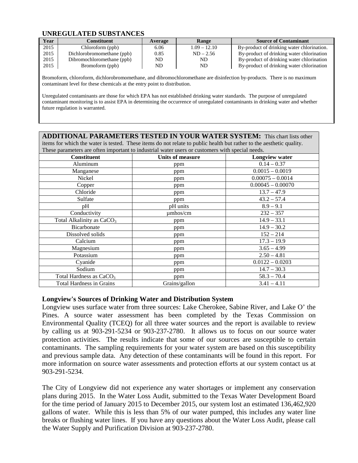#### **UNREGULATED SUBSTANCES**

| Year | Constituent                | <b>Average</b> | Range          | <b>Source of Contaminant</b>               |
|------|----------------------------|----------------|----------------|--------------------------------------------|
| 2015 | Chloroform (ppb)           | 6.06           | $1.09 - 12.10$ | By-product of drinking water chlorination. |
| 2015 | Dichlorobromomethane (ppb) | 0.85           | $ND - 2.56$    | By-product of drinking water chlorination  |
| 2015 | Dibromochloromethane (ppb) | ND.            | ND             | By-product of drinking water chlorination  |
| 2015 | Bromoform (ppb)            | ND             | ND.            | By-product of drinking water chlorination  |

Bromoform, chloroform, dichlorobromomethane, and dibromochloromethane are disinfection by-products. There is no maximum contaminant level for these chemicals at the entry point to distribution.

Unregulated contaminants are those for which EPA has not established drinking water standards. The purpose of unregulated contaminant monitoring is to assist EPA in determining the occurrence of unregulated contaminants in drinking water and whether future regulation is warranted.

**ADDITIONAL PARAMETERS TESTED IN YOUR WATER SYSTEM:** This chart lists other items for which the water is tested. These items do not relate to public health but rather to the aesthetic quality. These parameters are often important to industrial water users or customers with special needs.

| <b>Constituent</b>                    | <b>Units of measure</b> | <b>Longview water</b> |
|---------------------------------------|-------------------------|-----------------------|
|                                       |                         |                       |
| Aluminum                              | ppm                     | $0.14 - 0.37$         |
| Manganese                             | ppm                     | $0.0015 - 0.0019$     |
| Nickel                                | ppm                     | $0.00075 - 0.0014$    |
| Copper                                | ppm                     | $0.00045 - 0.00070$   |
| Chloride                              | ppm                     | $13.7 - 47.9$         |
| Sulfate                               | ppm                     | $43.2 - 57.4$         |
| pH                                    | pH units                | $8.9 - 9.1$           |
| Conductivity                          | $\mu$ mhos/cm           | $232 - 357$           |
| Total Alkalinity as CaCO <sub>3</sub> | ppm                     | $14.9 - 33.1$         |
| Bicarbonate                           | ppm                     | $14.9 - 30.2$         |
| Dissolved solids                      | ppm                     | $152 - 214$           |
| Calcium                               | ppm                     | $17.3 - 19.9$         |
| Magnesium                             | ppm                     | $3.65 - 4.99$         |
| Potassium                             | ppm                     | $2.50 - 4.81$         |
| Cyanide                               | ppm                     | $0.0122 - 0.0203$     |
| Sodium                                | ppm                     | $14.7 - 30.3$         |
| Total Hardness as $CaCO3$             | ppm                     | $58.3 - 70.4$         |
| <b>Total Hardness in Grains</b>       | Grains/gallon           | $3.41 - 4.11$         |

#### **Longview's Sources of Drinking Water and Distribution System**

Longview uses surface water from three sources: Lake Cherokee, Sabine River, and Lake O' the Pines. A source water assessment has been completed by the Texas Commission on Environmental Quality (TCEQ) for all three water sources and the report is available to review by calling us at 903-291-5234 or 903-237-2780. It allows us to focus on our source water protection activities. The results indicate that some of our sources are susceptible to certain contaminants. The sampling requirements for your water system are based on this susceptibility and previous sample data. Any detection of these contaminants will be found in this report. For more information on source water assessments and protection efforts at our system contact us at 903-291-5234.

The City of Longview did not experience any water shortages or implement any conservation plans during 2015. In the Water Loss Audit, submitted to the Texas Water Development Board for the time period of January 2015 to December 2015, our system lost an estimated 136,462,920 gallons of water. While this is less than 5% of our water pumped, this includes any water line breaks or flushing water lines. If you have any questions about the Water Loss Audit, please call the Water Supply and Purification Division at 903-237-2780.